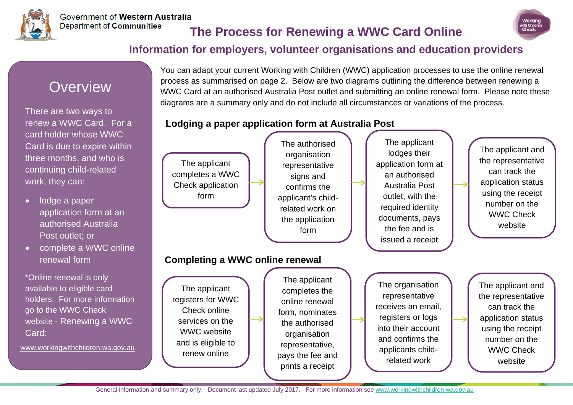

# **The Process for Renewing a WWC Card Online**



#### **Information for employers, volunteer organisations and education providers**

# **Overview**

There are two ways to renew a WWC Card. For a card holder whose WWC Card is due to expire within three months, and who is continuing child-related work, they can:

- lodge a paper application form at an authorised Australia Post outlet; or
- complete a WWC online renewal form

\*Online renewal is only available to eligible card holders. For more information go to the WWC Check website - Renewing a WWC Card:

www.workingwithchildren.wa.gov.au

You can adapt your current Working with Children (WWC) application processes to use the online renewal process as summarised on page 2. Below are two diagrams outlining the difference between renewing a WWC Card at an authorised Australia Post outlet and submitting an online renewal form. Please note these diagrams are a summary only and do not include all circumstances or variations of the process.

#### **Lodging a paper application form at Australia Post**